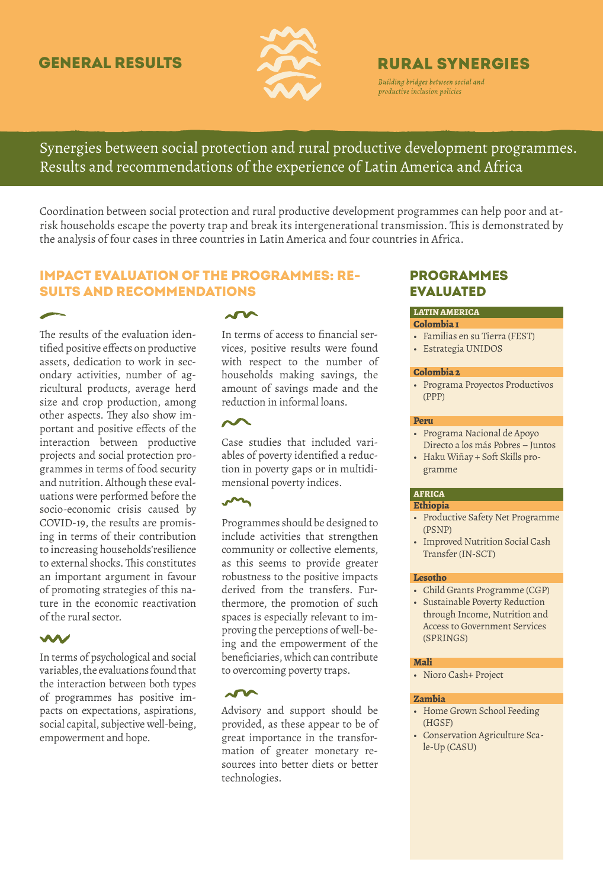## **GENERAL RESULTS**



# **RURAL SYNERGIES**

Building bridges between social and productive inclusion policies

Synergies between social protection and rural productive development programmes. Results and recommendations of the experience of Latin America and Africa

Coordination between social protection and rural productive development programmes can help poor and atrisk households escape the poverty trap and break its intergenerational transmission. This is demonstrated by the analysis of four cases in three countries in Latin America and four countries in Africa.

## Impact evaluation of the programmes: results and recommendations

The results of the evaluation identified positive effects on productive assets, dedication to work in secondary activities, number of agricultural products, average herd size and crop production, among other aspects. They also show important and positive effects of the interaction between productive projects and social protection programmes in terms of food security and nutrition. Although these evaluations were performed before the socio-economic crisis caused by COVID-19, the results are promising in terms of their contribution to increasing households'resilience to external shocks. This constitutes an important argument in favour of promoting strategies of this nature in the economic reactivation of the rural sector.

### W

In terms of psychological and social variables, the evaluations found that the interaction between both types of programmes has positive impacts on expectations, aspirations, social capital, subjective well-being, empowerment and hope.

## $\sim$

In terms of access to financial services, positive results were found with respect to the number of households making savings, the amount of savings made and the reduction in informal loans.

Case studies that included variables of poverty identified a reduction in poverty gaps or in multidimensional poverty indices.

## $\sim$

Programmes should be designed to include activities that strengthen community or collective elements, as this seems to provide greater robustness to the positive impacts derived from the transfers. Furthermore, the promotion of such spaces is especially relevant to improving the perceptions of well-being and the empowerment of the beneficiaries, which can contribute to overcoming poverty traps.

## $\sim$

Advisory and support should be provided, as these appear to be of great importance in the transformation of greater monetary resources into better diets or better technologies.

## **PROGRAMMES EVALUATED**

## **LATIN AMERICA**

- **Colombia 1**
- Familias en su Tierra (FEST)
- Estrategia UNIDOS

#### **Colombia 2**

• Programa Proyectos Productivos (PPP)

#### **Peru**

- Programa Nacional de Apoyo Directo a los más Pobres – Juntos
- Haku Wiñay + Soft Skills programme

#### **AFRICA**

#### **Ethiopia**

- Productive Safety Net Programme (PSNP)
- Improved Nutrition Social Cash Transfer (IN-SCT)

#### **Lesotho**

- Child Grants Programme (CGP)
- Sustainable Poverty Reduction through Income, Nutrition and Access to Government Services (SPRINGS)

#### **Mali**

• Nioro Cash+ Project

#### **Zambia**

- Home Grown School Feeding (HGSF)
- Conservation Agriculture Scale-Up (CASU)